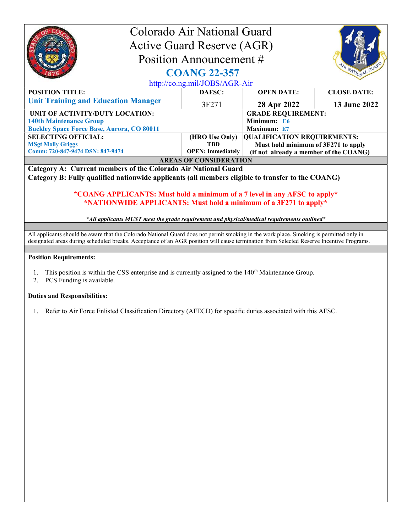| Colorado Air National Guard<br><b>Active Guard Reserve (AGR)</b><br>Position Announcement #<br>IR NATIONAL GUA<br><b>COANG 22-357</b>         |                              |                                                                           |                    |  |
|-----------------------------------------------------------------------------------------------------------------------------------------------|------------------------------|---------------------------------------------------------------------------|--------------------|--|
| http://co.ng.mil/JOBS/AGR-Air                                                                                                                 |                              |                                                                           |                    |  |
| <b>POSITION TITLE:</b>                                                                                                                        | DAFSC:                       | <b>OPEN DATE:</b>                                                         | <b>CLOSE DATE:</b> |  |
| <b>Unit Training and Education Manager</b>                                                                                                    | 3F271                        | 28 Apr 2022                                                               | 13 June 2022       |  |
| UNIT OF ACTIVITY/DUTY LOCATION:                                                                                                               | <b>GRADE REQUIREMENT:</b>    |                                                                           |                    |  |
| <b>140th Maintenance Group</b>                                                                                                                |                              | Minimum: E6                                                               |                    |  |
| <b>Buckley Space Force Base, Aurora, CO 80011</b>                                                                                             |                              | Maximum: E7                                                               |                    |  |
| <b>SELECTING OFFICIAL:</b><br><b>MSgt Molly Griggs</b>                                                                                        | (HRO Use Only)<br><b>TRD</b> | <b>QUALIFICATION REQUIREMENTS:</b><br>Must hold minimum of 3F271 to apply |                    |  |
| Comm: 720-847-9474 DSN: 847-9474                                                                                                              | <b>OPEN: Immediately</b>     | (if not already a member of the COANG)                                    |                    |  |
| <b>AREAS OF CONSIDERATION</b>                                                                                                                 |                              |                                                                           |                    |  |
| Category A: Current members of the Colorado Air National Guard                                                                                |                              |                                                                           |                    |  |
| Category B: Fully qualified nationwide applicants (all members eligible to transfer to the COANG)                                             |                              |                                                                           |                    |  |
| *COANG APPLICANTS: Must hold a minimum of a 7 level in any AFSC to apply*<br>*NATIONWIDE APPLICANTS: Must hold a minimum of a 3F271 to apply* |                              |                                                                           |                    |  |
| *All applicants MUST meet the grade requirement and physical/medical requirements outlined*                                                   |                              |                                                                           |                    |  |
| All applicants should be aware that the Colorado National Guard does not permit smoking in the work place. Smoking is permitted only in       |                              |                                                                           |                    |  |
| designated areas during scheduled breaks. Acceptance of an AGR position will cause termination from Selected Reserve Incentive Programs.      |                              |                                                                           |                    |  |

## Position Requirements:

- 1. This position is within the CSS enterprise and is currently assigned to the 140<sup>th</sup> Maintenance Group.
- 2. PCS Funding is available.

## Duties and Responsibilities:

1. Refer to Air Force Enlisted Classification Directory (AFECD) for specific duties associated with this AFSC.